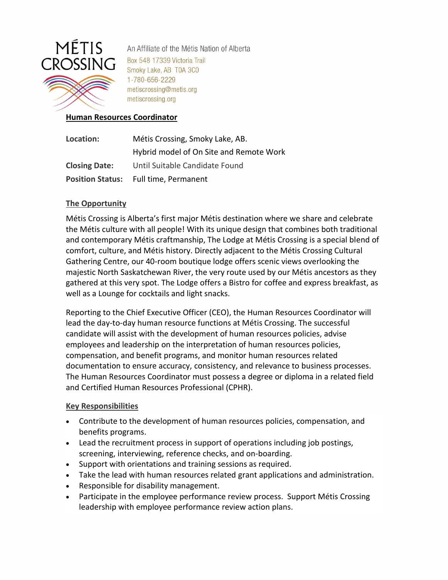

An Affiliate of the Métis Nation of Alberta Box 548 17339 Victoria Trail Smoky Lake, AB T0A 3C0 1-780-656-2229 metiscrossing@metis.org metiscrossing.org

### **Human Resources Coordinator**

| Location:               | Métis Crossing, Smoky Lake, AB.         |
|-------------------------|-----------------------------------------|
|                         | Hybrid model of On Site and Remote Work |
| <b>Closing Date:</b>    | Until Suitable Candidate Found          |
| <b>Position Status:</b> | Full time, Permanent                    |

## **The Opportunity**

Métis Crossing is Alberta's first major Métis destination where we share and celebrate the Métis culture with all people! With its unique design that combines both traditional and contemporary Métis craftmanship, The Lodge at Métis Crossing is a special blend of comfort, culture, and Métis history. Directly adjacent to the Métis Crossing Cultural Gathering Centre, our 40-room boutique lodge offers scenic views overlooking the majestic North Saskatchewan River, the very route used by our Métis ancestors as they gathered at this very spot. The Lodge offers a Bistro for coffee and express breakfast, as well as a Lounge for cocktails and light snacks.

Reporting to the Chief Executive Officer (CEO), the Human Resources Coordinator will lead the day-to-day human resource functions at Métis Crossing. The successful candidate will assist with the development of human resources policies, advise employees and leadership on the interpretation of human resources policies, compensation, and benefit programs, and monitor human resources related documentation to ensure accuracy, consistency, and relevance to business processes. The Human Resources Coordinator must possess a degree or diploma in a related field and Certified Human Resources Professional (CPHR).

## **Key Responsibilities**

- Contribute to the development of human resources policies, compensation, and benefits programs.
- Lead the recruitment process in support of operations including job postings, screening, interviewing, reference checks, and on-boarding.
- Support with orientations and training sessions as required.
- Take the lead with human resources related grant applications and administration.
- Responsible for disability management.
- Participate in the employee performance review process. Support Métis Crossing leadership with employee performance review action plans.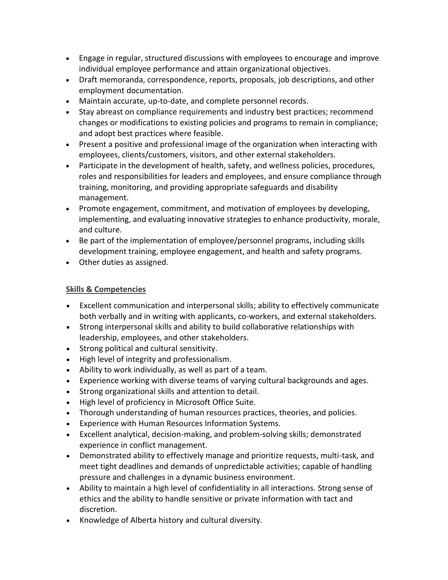- Engage in regular, structured discussions with employees to encourage and improve individual employee performance and attain organizational objectives.
- Draft memoranda, correspondence, reports, proposals, job descriptions, and other employment documentation.
- Maintain accurate, up-to-date, and complete personnel records.
- Stay abreast on compliance requirements and industry best practices; recommend changes or modifications to existing policies and programs to remain in compliance; and adopt best practices where feasible.
- Present a positive and professional image of the organization when interacting with employees, clients/customers, visitors, and other external stakeholders.
- Participate in the development of health, safety, and wellness policies, procedures, roles and responsibilities for leaders and employees, and ensure compliance through training, monitoring, and providing appropriate safeguards and disability management.
- Promote engagement, commitment, and motivation of employees by developing, implementing, and evaluating innovative strategies to enhance productivity, morale, and culture.
- Be part of the implementation of employee/personnel programs, including skills development training, employee engagement, and health and safety programs.
- Other duties as assigned.

# **Skills & Competencies**

- Excellent communication and interpersonal skills; ability to effectively communicate both verbally and in writing with applicants, co-workers, and external stakeholders.
- Strong interpersonal skills and ability to build collaborative relationships with leadership, employees, and other stakeholders.
- Strong political and cultural sensitivity.
- High level of integrity and professionalism.
- Ability to work individually, as well as part of a team.
- Experience working with diverse teams of varying cultural backgrounds and ages.
- Strong organizational skills and attention to detail.
- High level of proficiency in Microsoft Office Suite.
- Thorough understanding of human resources practices, theories, and policies.
- Experience with Human Resources Information Systems.
- Excellent analytical, decision-making, and problem-solving skills; demonstrated experience in conflict management.
- Demonstrated ability to effectively manage and prioritize requests, multi-task, and meet tight deadlines and demands of unpredictable activities; capable of handling pressure and challenges in a dynamic business environment.
- Ability to maintain a high level of confidentiality in all interactions. Strong sense of ethics and the ability to handle sensitive or private information with tact and discretion.
- Knowledge of Alberta history and cultural diversity.